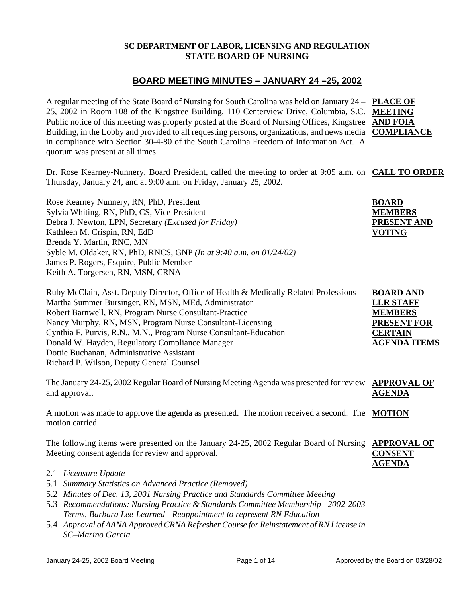#### **SC DEPARTMENT OF LABOR, LICENSING AND REGULATION STATE BOARD OF NURSING**

## **BOARD MEETING MINUTES – JANUARY 24 –25, 2002**

A regular meeting of the State Board of Nursing for South Carolina was held on January 24 – **PLACE OF**  25, 2002 in Room 108 of the Kingstree Building, 110 Centerview Drive, Columbia, S.C. **MEETING**  Public notice of this meeting was properly posted at the Board of Nursing Offices, Kingstree **AND FOIA** Building, in the Lobby and provided to all requesting persons, organizations, and news media **COMPLIANCE** in compliance with Section 30-4-80 of the South Carolina Freedom of Information Act. A quorum was present at all times.

Dr. Rose Kearney-Nunnery, Board President, called the meeting to order at 9:05 a.m. on **CALL TO ORDER** Thursday, January 24, and at 9:00 a.m. on Friday, January 25, 2002.

Rose Kearney Nunnery, RN, PhD, President Sylvia Whiting, RN, PhD, CS, Vice-President Debra J. Newton, LPN, Secretary *(Excused for Friday)* Kathleen M. Crispin, RN, EdD Brenda Y. Martin, RNC, MN Syble M. Oldaker, RN, PhD, RNCS, GNP *(In at 9:40 a.m. on 01/24/02)* James P. Rogers, Esquire, Public Member Keith A. Torgersen, RN, MSN, CRNA

| Ruby McClain, Asst. Deputy Director, Office of Health & Medically Related Professions | <b>BOARD AND</b>    |
|---------------------------------------------------------------------------------------|---------------------|
| Martha Summer Bursinger, RN, MSN, MEd, Administrator                                  | <b>LLR STAFF</b>    |
| Robert Barnwell, RN, Program Nurse Consultant-Practice                                | <b>MEMBERS</b>      |
| Nancy Murphy, RN, MSN, Program Nurse Consultant-Licensing                             | <b>PRESENT FOR</b>  |
| Cynthia F. Purvis, R.N., M.N., Program Nurse Consultant-Education                     | <b>CERTAIN</b>      |
| Donald W. Hayden, Regulatory Compliance Manager                                       | <b>AGENDA ITEMS</b> |
| Dottie Buchanan, Administrative Assistant                                             |                     |
| Richard P. Wilson, Deputy General Counsel                                             |                     |
|                                                                                       |                     |

The January 24-25, 2002 Regular Board of Nursing Meeting Agenda was presented for review **APPROVAL OF**  and approval. **AGENDA**

A motion was made to approve the agenda as presented. The motion received a second. The **MOTION** motion carried.

The following items were presented on the January 24-25, 2002 Regular Board of Nursing **APPROVAL OF** Meeting consent agenda for review and approval. **CONSENT** 

- 2.1 *Licensure Update*
- 5.1 *Summary Statistics on Advanced Practice (Removed)*
- 5.2 *Minutes of Dec. 13, 2001 Nursing Practice and Standards Committee Meeting*
- 5.3 *Recommendations: Nursing Practice & Standards Committee Membership 2002-2003 Terms, Barbara Lee-Learned - Reappointment to represent RN Education*
- 5.4 *Approval of AANA Approved CRNA Refresher Course for Reinstatement of RN License in SC–Marino Garcia*

**AGENDA**

**BOARD MEMBERS PRESENT AND** 

**VOTING**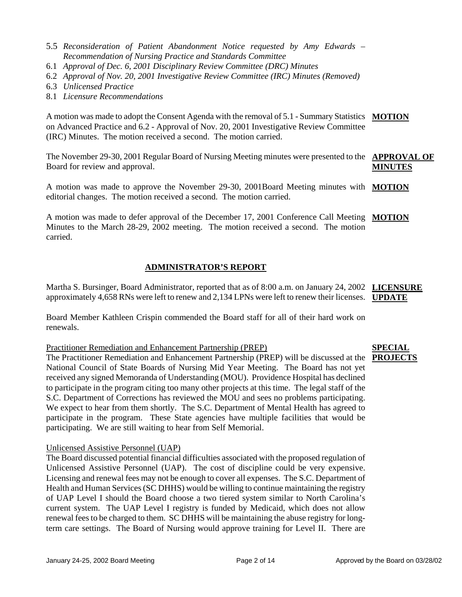- 5.5 *Reconsideration of Patient Abandonment Notice requested by Amy Edwards Recommendation of Nursing Practice and Standards Committee*
- 6.1 *Approval of Dec. 6, 2001 Disciplinary Review Committee (DRC) Minutes*
- 6.2 *Approval of Nov. 20, 2001 Investigative Review Committee (IRC) Minutes (Removed)*
- 6.3 *Unlicensed Practice*
- 8.1 *Licensure Recommendations*

A motion was made to adopt the Consent Agenda with the removal of 5.1 - Summary Statistics **MOTION** on Advanced Practice and 6.2 - Approval of Nov. 20, 2001 Investigative Review Committee (IRC) Minutes. The motion received a second. The motion carried.

The November 29-30, 2001 Regular Board of Nursing Meeting minutes were presented to the **APPROVAL OF**  Board for review and approval. **MINUTES**

A motion was made to approve the November 29-30, 2001Board Meeting minutes with **MOTION** editorial changes. The motion received a second. The motion carried.

A motion was made to defer approval of the December 17, 2001 Conference Call Meeting **MOTION** Minutes to the March 28-29, 2002 meeting. The motion received a second. The motion carried.

## **ADMINISTRATOR'S REPORT**

Martha S. Bursinger, Board Administrator, reported that as of 8:00 a.m. on January 24, 2002 **LICENSURE**  approximately 4,658 RNs were left to renew and 2,134 LPNs were left to renew their licenses. **UPDATE**

Board Member Kathleen Crispin commended the Board staff for all of their hard work on renewals.

#### Practitioner Remediation and Enhancement Partnership (PREP)

The Practitioner Remediation and Enhancement Partnership (PREP) will be discussed at the **PROJECTS**National Council of State Boards of Nursing Mid Year Meeting. The Board has not yet received any signed Memoranda of Understanding (MOU). Providence Hospital has declined to participate in the program citing too many other projects at this time. The legal staff of the S.C. Department of Corrections has reviewed the MOU and sees no problems participating. We expect to hear from them shortly. The S.C. Department of Mental Health has agreed to participate in the program. These State agencies have multiple facilities that would be participating. We are still waiting to hear from Self Memorial.

#### Unlicensed Assistive Personnel (UAP)

The Board discussed potential financial difficulties associated with the proposed regulation of Unlicensed Assistive Personnel (UAP). The cost of discipline could be very expensive. Licensing and renewal fees may not be enough to cover all expenses. The S.C. Department of Health and Human Services (SC DHHS) would be willing to continue maintaining the registry of UAP Level I should the Board choose a two tiered system similar to North Carolina's current system. The UAP Level I registry is funded by Medicaid, which does not allow renewal fees to be charged to them. SC DHHS will be maintaining the abuse registry for longterm care settings. The Board of Nursing would approve training for Level II. There are

# **SPECIAL**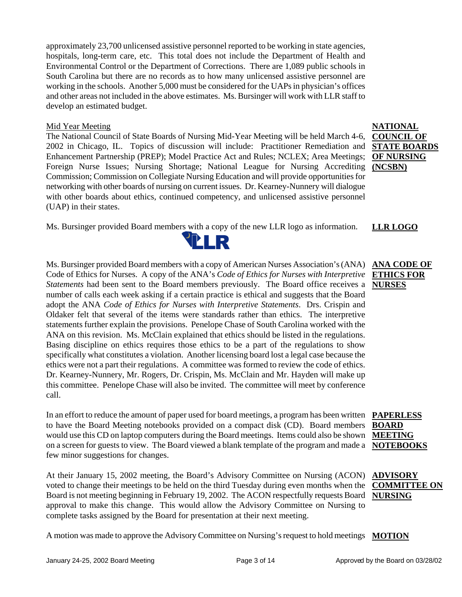approximately 23,700 unlicensed assistive personnel reported to be working in state agencies, hospitals, long-term care, etc. This total does not include the Department of Health and Environmental Control or the Department of Corrections. There are 1,089 public schools in South Carolina but there are no records as to how many unlicensed assistive personnel are working in the schools. Another 5,000 must be considered for the UAPs in physician's offices and other areas not included in the above estimates. Ms. Bursinger will work with LLR staff to develop an estimated budget.

#### Mid Year Meeting

The National Council of State Boards of Nursing Mid-Year Meeting will be held March 4-6, 2002 in Chicago, IL. Topics of discussion will include: Practitioner Remediation and Enhancement Partnership (PREP); Model Practice Act and Rules; NCLEX; Area Meetings; Foreign Nurse Issues; Nursing Shortage; National League for Nursing Accrediting Commission; Commission on Collegiate Nursing Education and will provide opportunities for networking with other boards of nursing on current issues. Dr. Kearney-Nunnery will dialogue with other boards about ethics, continued competency, and unlicensed assistive personnel (UAP) in their states.

Ms. Bursinger provided Board members with a copy of the new LLR logo as information. **LLR LOGO**



Ms. Bursinger provided Board members with a copy of American Nurses Association's (ANA) Code of Ethics for Nurses. A copy of the ANA's *Code of Ethics for Nurses with Interpretive Statements* had been sent to the Board members previously. The Board office receives a **NURSES** number of calls each week asking if a certain practice is ethical and suggests that the Board adopt the ANA *Code of Ethics for Nurses with Interpretive Statements*. Drs. Crispin and Oldaker felt that several of the items were standards rather than ethics. The interpretive statements further explain the provisions. Penelope Chase of South Carolina worked with the ANA on this revision. Ms. McClain explained that ethics should be listed in the regulations. Basing discipline on ethics requires those ethics to be a part of the regulations to show specifically what constitutes a violation. Another licensing board lost a legal case because the ethics were not a part their regulations. A committee was formed to review the code of ethics. Dr. Kearney-Nunnery, Mr. Rogers, Dr. Crispin, Ms. McClain and Mr. Hayden will make up this committee. Penelope Chase will also be invited. The committee will meet by conference call.

In an effort to reduce the amount of paper used for board meetings, a program has been written **PAPERLESS**  to have the Board Meeting notebooks provided on a compact disk (CD). Board members **BOARD**  would use this CD on laptop computers during the Board meetings. Items could also be shown **MEETING**  on a screen for guests to view. The Board viewed a blank template of the program and made a **NOTEBOOKS** few minor suggestions for changes.

At their January 15, 2002 meeting, the Board's Advisory Committee on Nursing (ACON) **ADVISORY**  voted to change their meetings to be held on the third Tuesday during even months when the Board is not meeting beginning in February 19, 2002. The ACON respectfully requests Board **NURSING** approval to make this change. This would allow the Advisory Committee on Nursing to complete tasks assigned by the Board for presentation at their next meeting.

A motion was made to approve the Advisory Committee on Nursing's request to hold meetings **MOTION**

**NATIONAL COUNCIL OF STATE BOARDS OF NURSING (NCSBN)**

# **ANA CODE OF ETHICS FOR**

# **COMMITTEE ON**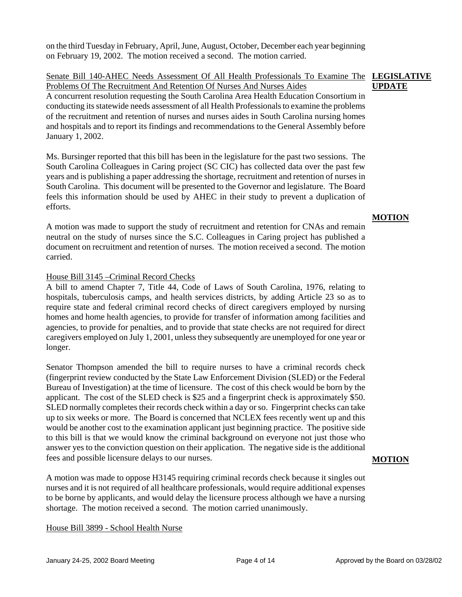on the third Tuesday in February, April, June, August, October, December each year beginning on February 19, 2002. The motion received a second. The motion carried.

Senate Bill 140-AHEC Needs Assessment Of All Health Professionals To Examine The **LEGISLATIVE**  Problems Of The Recruitment And Retention Of Nurses And Nurses Aides A concurrent resolution requesting the South Carolina Area Health Education Consortium in conducting its statewide needs assessment of all Health Professionals to examine the problems of the recruitment and retention of nurses and nurses aides in South Carolina nursing homes and hospitals and to report its findings and recommendations to the General Assembly before January 1, 2002. **UPDATE**

Ms. Bursinger reported that this bill has been in the legislature for the past two sessions. The South Carolina Colleagues in Caring project (SC CIC) has collected data over the past few years and is publishing a paper addressing the shortage, recruitment and retention of nurses in South Carolina. This document will be presented to the Governor and legislature. The Board feels this information should be used by AHEC in their study to prevent a duplication of efforts.

A motion was made to support the study of recruitment and retention for CNAs and remain neutral on the study of nurses since the S.C. Colleagues in Caring project has published a document on recruitment and retention of nurses. The motion received a second. The motion carried.

## House Bill 3145 –Criminal Record Checks

A bill to amend Chapter 7, Title 44, Code of Laws of South Carolina, 1976, relating to hospitals, tuberculosis camps, and health services districts, by adding Article 23 so as to require state and federal criminal record checks of direct caregivers employed by nursing homes and home health agencies, to provide for transfer of information among facilities and agencies, to provide for penalties, and to provide that state checks are not required for direct caregivers employed on July 1, 2001, unless they subsequently are unemployed for one year or longer.

Senator Thompson amended the bill to require nurses to have a criminal records check (fingerprint review conducted by the State Law Enforcement Division (SLED) or the Federal Bureau of Investigation) at the time of licensure. The cost of this check would be born by the applicant. The cost of the SLED check is \$25 and a fingerprint check is approximately \$50. SLED normally completes their records check within a day or so. Fingerprint checks can take up to six weeks or more. The Board is concerned that NCLEX fees recently went up and this would be another cost to the examination applicant just beginning practice. The positive side to this bill is that we would know the criminal background on everyone not just those who answer yes to the conviction question on their application. The negative side is the additional fees and possible licensure delays to our nurses.

A motion was made to oppose H3145 requiring criminal records check because it singles out nurses and it is not required of all healthcare professionals, would require additional expenses to be borne by applicants, and would delay the licensure process although we have a nursing shortage. The motion received a second. The motion carried unanimously.

House Bill 3899 - School Health Nurse

## **MOTION**

# **MOTION**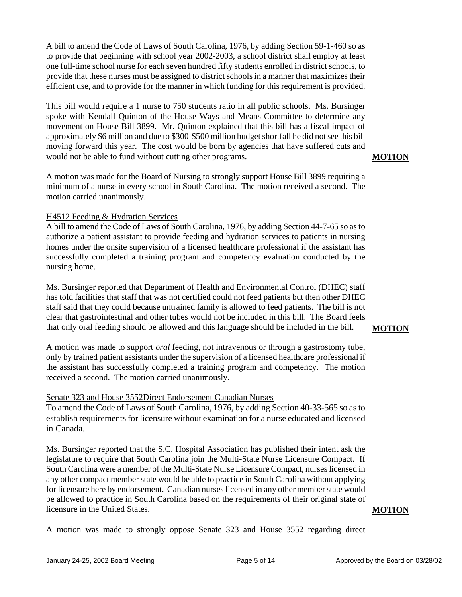A bill to amend the Code of Laws of South Carolina, 1976, by adding Section 59-1-460 so as to provide that beginning with school year 2002-2003, a school district shall employ at least one full-time school nurse for each seven hundred fifty students enrolled in district schools, to provide that these nurses must be assigned to district schools in a manner that maximizes their efficient use, and to provide for the manner in which funding for this requirement is provided.

This bill would require a 1 nurse to 750 students ratio in all public schools. Ms. Bursinger spoke with Kendall Quinton of the House Ways and Means Committee to determine any movement on House Bill 3899. Mr. Quinton explained that this bill has a fiscal impact of approximately \$6 million and due to \$300-\$500 million budget shortfall he did not see this bill moving forward this year. The cost would be born by agencies that have suffered cuts and would not be able to fund without cutting other programs.

**MOTION**

A motion was made for the Board of Nursing to strongly support House Bill 3899 requiring a minimum of a nurse in every school in South Carolina. The motion received a second. The motion carried unanimously.

#### H4512 Feeding & Hydration Services

A bill to amend the Code of Laws of South Carolina, 1976, by adding Section 44-7-65 so as to authorize a patient assistant to provide feeding and hydration services to patients in nursing homes under the onsite supervision of a licensed healthcare professional if the assistant has successfully completed a training program and competency evaluation conducted by the nursing home.

Ms. Bursinger reported that Department of Health and Environmental Control (DHEC) staff has told facilities that staff that was not certified could not feed patients but then other DHEC staff said that they could because untrained family is allowed to feed patients. The bill is not clear that gastrointestinal and other tubes would not be included in this bill. The Board feels that only oral feeding should be allowed and this language should be included in the bill.

#### **MOTION**

A motion was made to support *oral* feeding, not intravenous or through a gastrostomy tube, only by trained patient assistants under the supervision of a licensed healthcare professional if the assistant has successfully completed a training program and competency. The motion received a second. The motion carried unanimously.

#### Senate 323 and House 3552Direct Endorsement Canadian Nurses

To amend the Code of Laws of South Carolina, 1976, by adding Section 40-33-565 so as to establish requirements for licensure without examination for a nurse educated and licensed in Canada.

Ms. Bursinger reported that the S.C. Hospital Association has published their intent ask the legislature to require that South Carolina join the Multi-State Nurse Licensure Compact. If South Carolina were a member of the Multi-State Nurse Licensure Compact, nurses licensed in any other compact member state would be able to practice in South Carolina without applying for licensure here by endorsement. Canadian nurses licensed in any other member state would be allowed to practice in South Carolina based on the requirements of their original state of licensure in the United States.

#### A motion was made to strongly oppose Senate 323 and House 3552 regarding direct

**MOTION**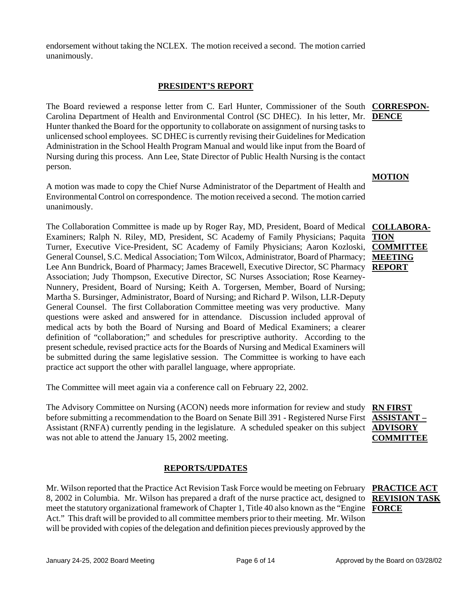endorsement without taking the NCLEX. The motion received a second. The motion carried unanimously.

#### **PRESIDENT'S REPORT**

The Board reviewed a response letter from C. Earl Hunter, Commissioner of the South **CORRESPON-**Carolina Department of Health and Environmental Control (SC DHEC). In his letter, Mr. **DENCE** Hunter thanked the Board for the opportunity to collaborate on assignment of nursing tasks to unlicensed school employees. SC DHEC is currently revising their Guidelines for Medication Administration in the School Health Program Manual and would like input from the Board of Nursing during this process. Ann Lee, State Director of Public Health Nursing is the contact person.

A motion was made to copy the Chief Nurse Administrator of the Department of Health and Environmental Control on correspondence. The motion received a second. The motion carried unanimously.

The Collaboration Committee is made up by Roger Ray, MD, President, Board of Medical Examiners; Ralph N. Riley, MD, President, SC Academy of Family Physicians; Paquita **TION** Turner, Executive Vice-President, SC Academy of Family Physicians; Aaron Kozloski, **COMMITTEE**  General Counsel, S.C. Medical Association; Tom Wilcox, Administrator, Board of Pharmacy; **MEETING**  Lee Ann Bundrick, Board of Pharmacy; James Bracewell, Executive Director, SC Pharmacy **REPORT** Association; Judy Thompson, Executive Director, SC Nurses Association; Rose Kearney-Nunnery, President, Board of Nursing; Keith A. Torgersen, Member, Board of Nursing; Martha S. Bursinger, Administrator, Board of Nursing; and Richard P. Wilson, LLR-Deputy General Counsel. The first Collaboration Committee meeting was very productive. Many questions were asked and answered for in attendance. Discussion included approval of medical acts by both the Board of Nursing and Board of Medical Examiners; a clearer definition of "collaboration;" and schedules for prescriptive authority. According to the present schedule, revised practice acts for the Boards of Nursing and Medical Examiners will be submitted during the same legislative session. The Committee is working to have each practice act support the other with parallel language, where appropriate.

The Committee will meet again via a conference call on February 22, 2002.

The Advisory Committee on Nursing (ACON) needs more information for review and study **RN FIRST** before submitting a recommendation to the Board on Senate Bill 391 - Registered Nurse First **ASSISTANT –** Assistant (RNFA) currently pending in the legislature. A scheduled speaker on this subject **ADVISORY**  was not able to attend the January 15, 2002 meeting. **COMMITTEE** 

## **REPORTS/UPDATES**

Mr. Wilson reported that the Practice Act Revision Task Force would be meeting on February 8, 2002 in Columbia. Mr. Wilson has prepared a draft of the nurse practice act, designed to **REVISION TASK**  meet the statutory organizational framework of Chapter 1, Title 40 also known as the "Engine **FORCE**Act." This draft will be provided to all committee members prior to their meeting. Mr. Wilson will be provided with copies of the delegation and definition pieces previously approved by the

# **PRACTICE ACT**

#### **MOTION**

# **COLLABORA-**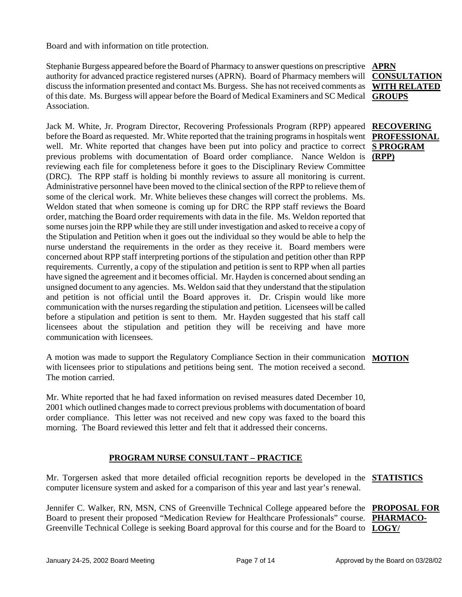Board and with information on title protection.

Stephanie Burgess appeared before the Board of Pharmacy to answer questions on prescriptive **APRN** authority for advanced practice registered nurses (APRN). Board of Pharmacy members will **CONSULTATION**  discuss the information presented and contact Ms. Burgess. She has not received comments as **WITH RELATED**  of this date. Ms. Burgess will appear before the Board of Medical Examiners and SC Medical **GROUPS** Association.

Jack M. White, Jr. Program Director, Recovering Professionals Program (RPP) appeared before the Board as requested. Mr. White reported that the training programs in hospitals went well. Mr. White reported that changes have been put into policy and practice to correct **S PROGRAM** previous problems with documentation of Board order compliance. Nance Weldon is **(RPP)** reviewing each file for completeness before it goes to the Disciplinary Review Committee (DRC). The RPP staff is holding bi monthly reviews to assure all monitoring is current. Administrative personnel have been moved to the clinical section of the RPP to relieve them of some of the clerical work. Mr. White believes these changes will correct the problems. Ms. Weldon stated that when someone is coming up for DRC the RPP staff reviews the Board order, matching the Board order requirements with data in the file. Ms. Weldon reported that some nurses join the RPP while they are still under investigation and asked to receive a copy of the Stipulation and Petition when it goes out the individual so they would be able to help the nurse understand the requirements in the order as they receive it. Board members were concerned about RPP staff interpreting portions of the stipulation and petition other than RPP requirements. Currently, a copy of the stipulation and petition is sent to RPP when all parties have signed the agreement and it becomes official. Mr. Hayden is concerned about sending an unsigned document to any agencies. Ms. Weldon said that they understand that the stipulation and petition is not official until the Board approves it. Dr. Crispin would like more communication with the nurses regarding the stipulation and petition. Licensees will be called before a stipulation and petition is sent to them. Mr. Hayden suggested that his staff call licensees about the stipulation and petition they will be receiving and have more communication with licensees.

A motion was made to support the Regulatory Compliance Section in their communication **MOTION** with licensees prior to stipulations and petitions being sent. The motion received a second. The motion carried.

Mr. White reported that he had faxed information on revised measures dated December 10, 2001 which outlined changes made to correct previous problems with documentation of board order compliance. This letter was not received and new copy was faxed to the board this morning. The Board reviewed this letter and felt that it addressed their concerns.

## **PROGRAM NURSE CONSULTANT – PRACTICE**

Mr. Torgersen asked that more detailed official recognition reports be developed in the **STATISTICS** computer licensure system and asked for a comparison of this year and last year's renewal.

Jennifer C. Walker, RN, MSN, CNS of Greenville Technical College appeared before the **PROPOSAL FOR**  Board to present their proposed "Medication Review for Healthcare Professionals" course. PHARMACO-Greenville Technical College is seeking Board approval for this course and for the Board to **LOGY/** 

**RECOVERING PROFESSIONAL**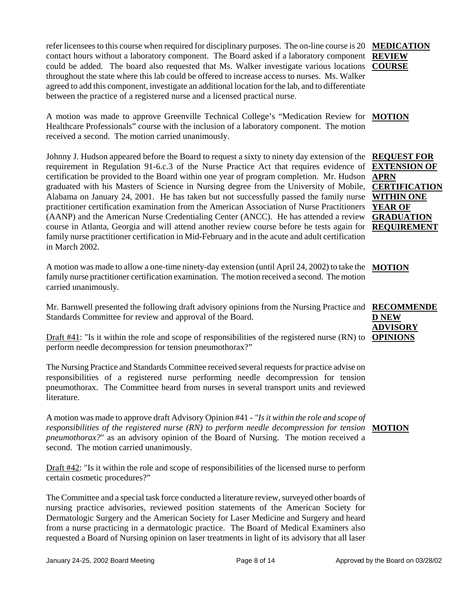refer licensees to this course when required for disciplinary purposes. The on-line course is 20 **MEDICATION** contact hours without a laboratory component. The Board asked if a laboratory component **REVIEW**  could be added. The board also requested that Ms. Walker investigate various locations **COURSE** throughout the state where this lab could be offered to increase access to nurses. Ms. Walker agreed to add this component, investigate an additional location for the lab, and to differentiate between the practice of a registered nurse and a licensed practical nurse.

A motion was made to approve Greenville Technical College's "Medication Review for **MOTION** Healthcare Professionals" course with the inclusion of a laboratory component. The motion received a second. The motion carried unanimously.

Johnny J. Hudson appeared before the Board to request a sixty to ninety day extension of the **REQUEST FOR**  requirement in Regulation 91-6.c.3 of the Nurse Practice Act that requires evidence of certification be provided to the Board within one year of program completion. Mr. Hudson **APRN** graduated with his Masters of Science in Nursing degree from the University of Mobile, **CERTIFICATION**  Alabama on January 24, 2001. He has taken but not successfully passed the family nurse **WITHIN ONE**  practitioner certification examination from the American Association of Nurse Practitioners (AANP) and the American Nurse Credentialing Center (ANCC). He has attended a review **GRADUATION**  course in Atlanta, Georgia and will attend another review course before he tests again for **REQUIREMENT** family nurse practitioner certification in Mid-February and in the acute and adult certification in March 2002.

A motion was made to allow a one-time ninety-day extension (until April 24, 2002) to take the **MOTION** family nurse practitioner certification examination. The motion received a second. The motion carried unanimously.

Mr. Barnwell presented the following draft advisory opinions from the Nursing Practice and **RECOMMENDE** Standards Committee for review and approval of the Board. **D NEW** 

Draft #41: "Is it within the role and scope of responsibilities of the registered nurse (RN) to **OPINIONS** perform needle decompression for tension pneumothorax?"

The Nursing Practice and Standards Committee received several requests for practice advise on responsibilities of a registered nurse performing needle decompression for tension pneumothorax. The Committee heard from nurses in several transport units and reviewed literature.

A motion was made to approve draft Advisory Opinion #41 - *"Is it within the role and scope of*  responsibilities of the registered nurse (RN) to perform needle decompression for tension **MOTION** *pneumothorax?*" as an advisory opinion of the Board of Nursing. The motion received a second. The motion carried unanimously.

Draft #42: "Is it within the role and scope of responsibilities of the licensed nurse to perform certain cosmetic procedures?"

The Committee and a special task force conducted a literature review, surveyed other boards of nursing practice advisories, reviewed position statements of the American Society for Dermatologic Surgery and the American Society for Laser Medicine and Surgery and heard from a nurse practicing in a dermatologic practice. The Board of Medical Examiners also requested a Board of Nursing opinion on laser treatments in light of its advisory that all laser

**EXTENSION OF YEAR OF**

**ADVISORY**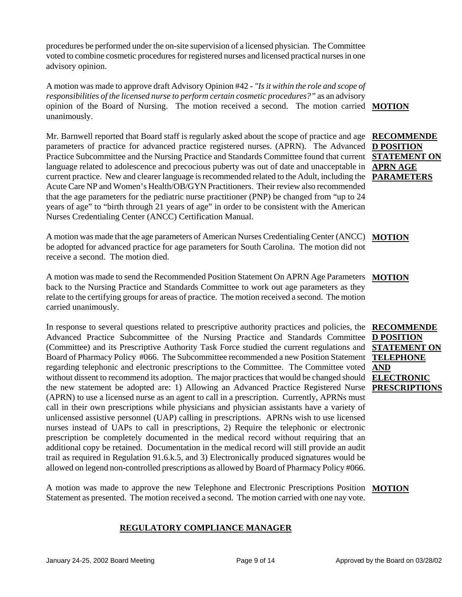procedures be performed under the on-site supervision of a licensed physician. The Committee voted to combine cosmetic procedures for registered nurses and licensed practical nurses in one advisory opinion.

A motion was made to approve draft Advisory Opinion #42 - *"Is it within the role and scope of responsibilities of the licensed nurse to perform certain cosmetic procedures?"* as an advisory opinion of the Board of Nursing. The motion received a second. The motion carried **MOTION** unanimously.

Mr. Barnwell reported that Board staff is regularly asked about the scope of practice and age parameters of practice for advanced practice registered nurses. (APRN). The Advanced Practice Subcommittee and the Nursing Practice and Standards Committee found that current language related to adolescence and precocious puberty was out of date and unacceptable in current practice. New and clearer language is recommended related to the Adult, including the **PARAMETERS** Acute Care NP and Women's Health/OB/GYN Practitioners. Their review also recommended that the age parameters for the pediatric nurse practitioner (PNP) be changed from "up to 24 years of age" to "birth through 21 years of age" in order to be consistent with the American Nurses Credentialing Center (ANCC) Certification Manual. **RECOMMENDE D POSITION** 

A motion was made that the age parameters of American Nurses Credentialing Center (ANCC) **MOTION** be adopted for advanced practice for age parameters for South Carolina. The motion did not receive a second. The motion died.

A motion was made to send the Recommended Position Statement On APRN Age Parameters **MOTION** back to the Nursing Practice and Standards Committee to work out age parameters as they relate to the certifying groups for areas of practice. The motion received a second. The motion carried unanimously.

In response to several questions related to prescriptive authority practices and policies, the **RECOMMENDE** Advanced Practice Subcommittee of the Nursing Practice and Standards Committee (Committee) and its Prescriptive Authority Task Force studied the current regulations and Board of Pharmacy Policy #066. The Subcommittee recommended a new Position Statement regarding telephonic and electronic prescriptions to the Committee. The Committee voted without dissent to recommend its adoption. The major practices that would be changed should **ELECTRONIC**  the new statement be adopted are: 1) Allowing an Advanced Practice Registered Nurse **PRESCRIPTIONS**  (APRN) to use a licensed nurse as an agent to call in a prescription. Currently, APRNs must call in their own prescriptions while physicians and physician assistants have a variety of unlicensed assistive personnel (UAP) calling in prescriptions. APRNs wish to use licensed nurses instead of UAPs to call in prescriptions, 2) Require the telephonic or electronic prescription be completely documented in the medical record without requiring that an additional copy be retained. Documentation in the medical record will still provide an audit trail as required in Regulation 91.6.k.5, and 3) Electronically produced signatures would be allowed on legend non-controlled prescriptions as allowed by Board of Pharmacy Policy #066.

A motion was made to approve the new Telephone and Electronic Prescriptions Position **MOTION** Statement as presented. The motion received a second. The motion carried with one nay vote.

## **REGULATORY COMPLIANCE MANAGER**

# **STATEMENT ON APRN AGE**

**D POSITION STATEMENT ON TELEPHONE** 

**AND**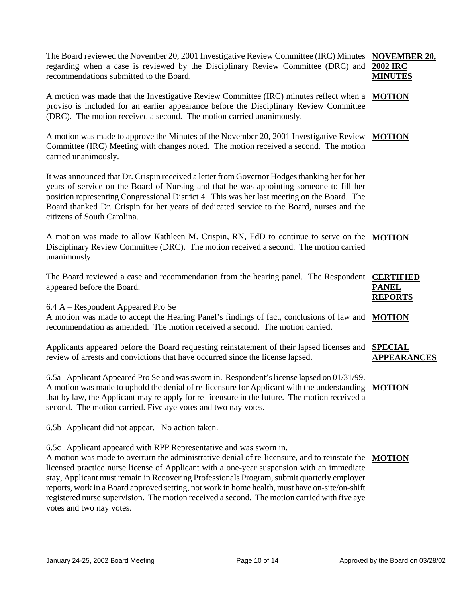The Board reviewed the November 20, 2001 Investigative Review Committee (IRC) Minutes NOVEMBER 20, regarding when a case is reviewed by the Disciplinary Review Committee (DRC) and **2002 IRC**  recommendations submitted to the Board. **MINUTES**

A motion was made that the Investigative Review Committee (IRC) minutes reflect when a **MOTION** proviso is included for an earlier appearance before the Disciplinary Review Committee (DRC). The motion received a second. The motion carried unanimously.

A motion was made to approve the Minutes of the November 20, 2001 Investigative Review **MOTION** Committee (IRC) Meeting with changes noted. The motion received a second. The motion carried unanimously.

It was announced that Dr. Crispin received a letter from Governor Hodges thanking her for her years of service on the Board of Nursing and that he was appointing someone to fill her position representing Congressional District 4. This was her last meeting on the Board. The Board thanked Dr. Crispin for her years of dedicated service to the Board, nurses and the citizens of South Carolina.

A motion was made to allow Kathleen M. Crispin, RN, EdD to continue to serve on the **MOTION** Disciplinary Review Committee (DRC). The motion received a second. The motion carried unanimously.

| The Board reviewed a case and recommendation from the hearing panel. The Respondent <b>CERTIFIED</b> |                |
|------------------------------------------------------------------------------------------------------|----------------|
| appeared before the Board.                                                                           | <b>PANEL</b>   |
|                                                                                                      | <b>REPORTS</b> |

6.4 A – Respondent Appeared Pro Se

A motion was made to accept the Hearing Panel's findings of fact, conclusions of law and **MOTION** recommendation as amended. The motion received a second. The motion carried.

Applicants appeared before the Board requesting reinstatement of their lapsed licenses and **SPECIAL**  review of arrests and convictions that have occurred since the license lapsed. **APPEARANCES**

6.5a Applicant Appeared Pro Se and was sworn in. Respondent's license lapsed on 01/31/99. A motion was made to uphold the denial of re-licensure for Applicant with the understanding **MOTION** that by law, the Applicant may re-apply for re-licensure in the future. The motion received a second. The motion carried. Five aye votes and two nay votes.

6.5b Applicant did not appear. No action taken.

6.5c Applicant appeared with RPP Representative and was sworn in.

A motion was made to overturn the administrative denial of re-licensure, and to reinstate the **MOTION**licensed practice nurse license of Applicant with a one-year suspension with an immediate stay, Applicant must remain in Recovering Professionals Program, submit quarterly employer reports, work in a Board approved setting, not work in home health, must have on-site/on-shift registered nurse supervision. The motion received a second. The motion carried with five aye votes and two nay votes.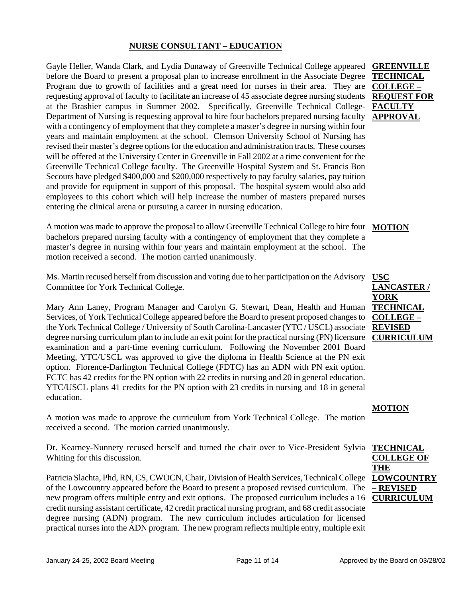## **NURSE CONSULTANT – EDUCATION**

Gayle Heller, Wanda Clark, and Lydia Dunaway of Greenville Technical College appeared **GREENVILLE**  before the Board to present a proposal plan to increase enrollment in the Associate Degree Program due to growth of facilities and a great need for nurses in their area. They are **COLLEGE –** requesting approval of faculty to facilitate an increase of 45 associate degree nursing students **REQUEST FOR**  at the Brashier campus in Summer 2002. Specifically, Greenville Technical College-Department of Nursing is requesting approval to hire four bachelors prepared nursing faculty with a contingency of employment that they complete a master's degree in nursing within four years and maintain employment at the school. Clemson University School of Nursing has revised their master's degree options for the education and administration tracts. These courses will be offered at the University Center in Greenville in Fall 2002 at a time convenient for the Greenville Technical College faculty. The Greenville Hospital System and St. Francis Bon Secours have pledged \$400,000 and \$200,000 respectively to pay faculty salaries, pay tuition and provide for equipment in support of this proposal. The hospital system would also add employees to this cohort which will help increase the number of masters prepared nurses entering the clinical arena or pursuing a career in nursing education.

A motion was made to approve the proposal to allow Greenville Technical College to hire four **MOTION** bachelors prepared nursing faculty with a contingency of employment that they complete a master's degree in nursing within four years and maintain employment at the school. The motion received a second. The motion carried unanimously.

Ms. Martin recused herself from discussion and voting due to her participation on the Advisory Committee for York Technical College.

Mary Ann Laney, Program Manager and Carolyn G. Stewart, Dean, Health and Human Services, of York Technical College appeared before the Board to present proposed changes to the York Technical College / University of South Carolina-Lancaster (YTC / USCL) associate **REVISED**  degree nursing curriculum plan to include an exit point for the practical nursing (PN) licensure examination and a part-time evening curriculum. Following the November 2001 Board Meeting, YTC/USCL was approved to give the diploma in Health Science at the PN exit option. Florence-Darlington Technical College (FDTC) has an ADN with PN exit option. FCTC has 42 credits for the PN option with 22 credits in nursing and 20 in general education. YTC/USCL plans 41 credits for the PN option with 23 credits in nursing and 18 in general education.

A motion was made to approve the curriculum from York Technical College. The motion received a second. The motion carried unanimously.

Dr. Kearney-Nunnery recused herself and turned the chair over to Vice-President Sylvia Whiting for this discussion.

Patricia Slachta, Phd, RN, CS, CWOCN, Chair, Division of Health Services, Technical College of the Lowcountry appeared before the Board to present a proposed revised curriculum. The new program offers multiple entry and exit options. The proposed curriculum includes a 16 credit nursing assistant certificate, 42 credit practical nursing program, and 68 credit associate degree nursing (ADN) program. The new curriculum includes articulation for licensed practical nurses into the ADN program. The new program reflects multiple entry, multiple exit

**TECHNICAL FACULTY APPROVAL**

**USC LANCASTER / YORK TECHNICAL COLLEGE – CURRICULUM**

#### **MOTION**

**TECHNICAL COLLEGE OF THE LOWCOUNTRY – REVISED CURRICULUM**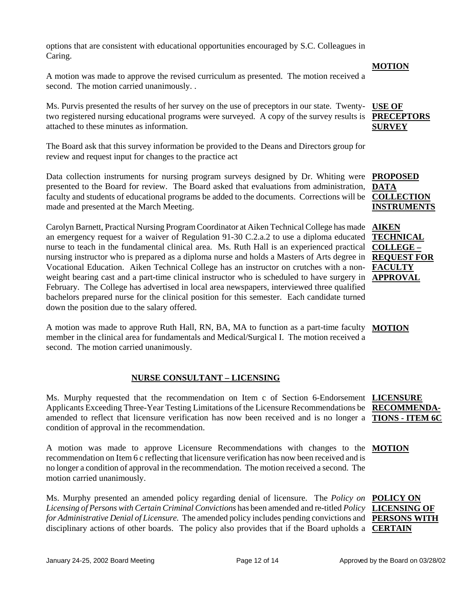options that are consistent with educational opportunities encouraged by S.C. Colleagues in Caring.

A motion was made to approve the revised curriculum as presented. The motion received a second. The motion carried unanimously. .

Ms. Purvis presented the results of her survey on the use of preceptors in our state. Twentytwo registered nursing educational programs were surveyed. A copy of the survey results is attached to these minutes as information. **USE OF SURVEY**

The Board ask that this survey information be provided to the Deans and Directors group for review and request input for changes to the practice act

Data collection instruments for nursing program surveys designed by Dr. Whiting were **PROPOSED**  presented to the Board for review. The Board asked that evaluations from administration, faculty and students of educational programs be added to the documents. Corrections will be made and presented at the March Meeting.

Carolyn Barnett, Practical Nursing Program Coordinator at Aiken Technical College has made an emergency request for a waiver of Regulation 91-30 C.2.a.2 to use a diploma educated nurse to teach in the fundamental clinical area. Ms. Ruth Hall is an experienced practical nursing instructor who is prepared as a diploma nurse and holds a Masters of Arts degree in Vocational Education. Aiken Technical College has an instructor on crutches with a nonweight bearing cast and a part-time clinical instructor who is scheduled to have surgery in **APPROVAL** February. The College has advertised in local area newspapers, interviewed three qualified bachelors prepared nurse for the clinical position for this semester. Each candidate turned down the position due to the salary offered.

A motion was made to approve Ruth Hall, RN, BA, MA to function as a part-time faculty **MOTION** member in the clinical area for fundamentals and Medical/Surgical I. The motion received a second. The motion carried unanimously.

## **NURSE CONSULTANT – LICENSING**

Ms. Murphy requested that the recommendation on Item c of Section 6-Endorsement **LICENSURE**  Applicants Exceeding Three-Year Testing Limitations of the Licensure Recommendations be **RECOMMENDA**amended to reflect that licensure verification has now been received and is no longer a condition of approval in the recommendation.

A motion was made to approve Licensure Recommendations with changes to the **MOTION** recommendation on Item 6 c reflecting that licensure verification has now been received and is no longer a condition of approval in the recommendation. The motion received a second. The motion carried unanimously.

Ms. Murphy presented an amended policy regarding denial of licensure. The *Policy on* **POLICY ON** *Licensing of Persons with Certain Criminal Convictions* has been amended and re-titled *Policy*  **LICENSING OF**  for Administrative Denial of Licensure. The amended policy includes pending convictions and **PERSONS WITH** disciplinary actions of other boards. The policy also provides that if the Board upholds a **CERTAIN** 

# **PRECEPTORS**

**DATA COLLECTION INSTRUMENTS**

**AIKEN TECHNICAL COLLEGE – REQUEST FOR FACULTY** 

**TIONS - ITEM 6C**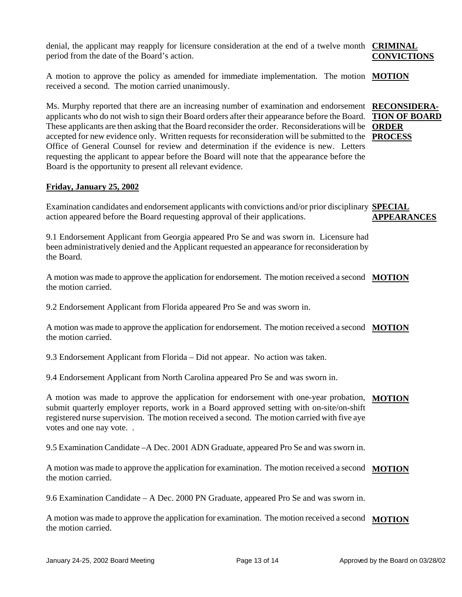denial, the applicant may reapply for licensure consideration at the end of a twelve month **CRIMINAL**  period from the date of the Board's action.

**CONVICTIONS**

A motion to approve the policy as amended for immediate implementation. The motion **MOTION** received a second. The motion carried unanimously.

Ms. Murphy reported that there are an increasing number of examination and endorsement **RECONSIDERA**applicants who do not wish to sign their Board orders after their appearance before the Board. **TION OF BOARD**  These applicants are then asking that the Board reconsider the order. Reconsiderations will be **ORDER**  accepted for new evidence only. Written requests for reconsideration will be submitted to the **PROCESS** Office of General Counsel for review and determination if the evidence is new. Letters requesting the applicant to appear before the Board will note that the appearance before the Board is the opportunity to present all relevant evidence.

## **Friday, January 25, 2002**

Examination candidates and endorsement applicants with convictions and/or prior disciplinary **SPECIAL**  action appeared before the Board requesting approval of their applications. **APPEARANCES**

9.1 Endorsement Applicant from Georgia appeared Pro Se and was sworn in. Licensure had been administratively denied and the Applicant requested an appearance for reconsideration by the Board.

A motion was made to approve the application for endorsement. The motion received a second **MOTION** the motion carried.

9.2 Endorsement Applicant from Florida appeared Pro Se and was sworn in.

A motion was made to approve the application for endorsement. The motion received a second **MOTION** the motion carried.

9.3 Endorsement Applicant from Florida – Did not appear. No action was taken.

9.4 Endorsement Applicant from North Carolina appeared Pro Se and was sworn in.

A motion was made to approve the application for endorsement with one-year probation, **MOTION** submit quarterly employer reports, work in a Board approved setting with on-site/on-shift registered nurse supervision. The motion received a second. The motion carried with five aye votes and one nay vote. .

9.5 Examination Candidate –A Dec. 2001 ADN Graduate, appeared Pro Se and was sworn in.

A motion was made to approve the application for examination. The motion received a second **MOTION** the motion carried.

9.6 Examination Candidate – A Dec. 2000 PN Graduate, appeared Pro Se and was sworn in.

A motion was made to approve the application for examination. The motion received a second **MOTION**the motion carried.